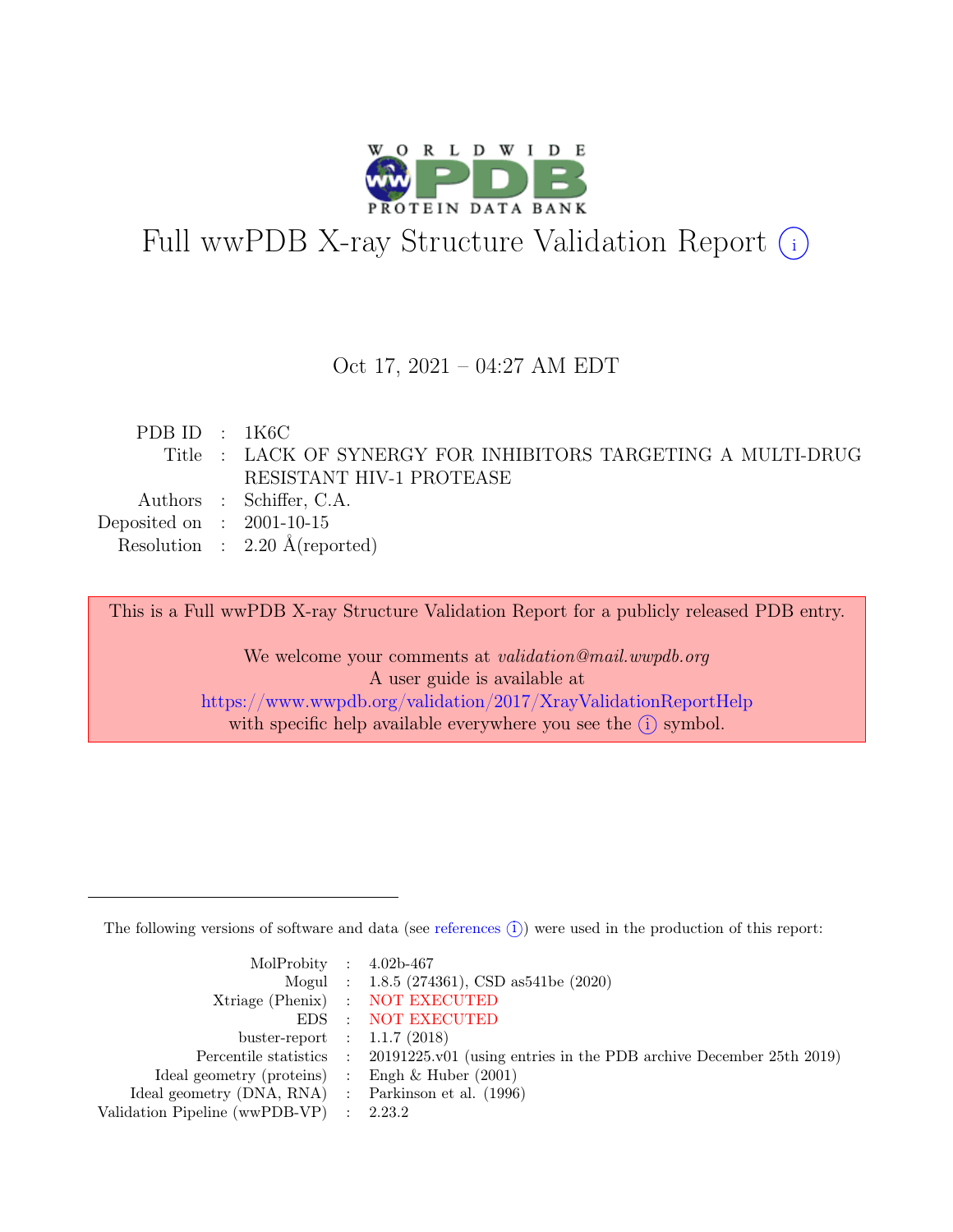

# Full wwPDB X-ray Structure Validation Report  $\bigcirc$

### Oct 17, 2021 – 04:27 AM EDT

| PDB ID : $1K6C$                                               |  |
|---------------------------------------------------------------|--|
| Title : LACK OF SYNERGY FOR INHIBITORS TARGETING A MULTI-DRUG |  |
| RESISTANT HIV-1 PROTEASE                                      |  |
| Authors : Schiffer, C.A.                                      |  |
| Deposited on : $2001-10-15$                                   |  |
| Resolution : $2.20 \text{ Å}$ (reported)                      |  |

This is a Full wwPDB X-ray Structure Validation Report for a publicly released PDB entry.

We welcome your comments at *validation@mail.wwpdb.org* A user guide is available at <https://www.wwpdb.org/validation/2017/XrayValidationReportHelp> with specific help available everywhere you see the  $(i)$  symbol.

The following versions of software and data (see [references](https://www.wwpdb.org/validation/2017/XrayValidationReportHelp#references)  $(i)$ ) were used in the production of this report:

| MolProbity : $4.02b-467$                            |                                                                                            |
|-----------------------------------------------------|--------------------------------------------------------------------------------------------|
|                                                     | Mogul : $1.8.5$ (274361), CSD as 541be (2020)                                              |
|                                                     | Xtriage (Phenix) : NOT EXECUTED                                                            |
|                                                     | EDS : NOT EXECUTED                                                                         |
| buster-report : $1.1.7(2018)$                       |                                                                                            |
|                                                     | Percentile statistics : 20191225.v01 (using entries in the PDB archive December 25th 2019) |
| Ideal geometry (proteins) : Engh $\&$ Huber (2001)  |                                                                                            |
| Ideal geometry (DNA, RNA) : Parkinson et al. (1996) |                                                                                            |
| Validation Pipeline (wwPDB-VP) : $2.23.2$           |                                                                                            |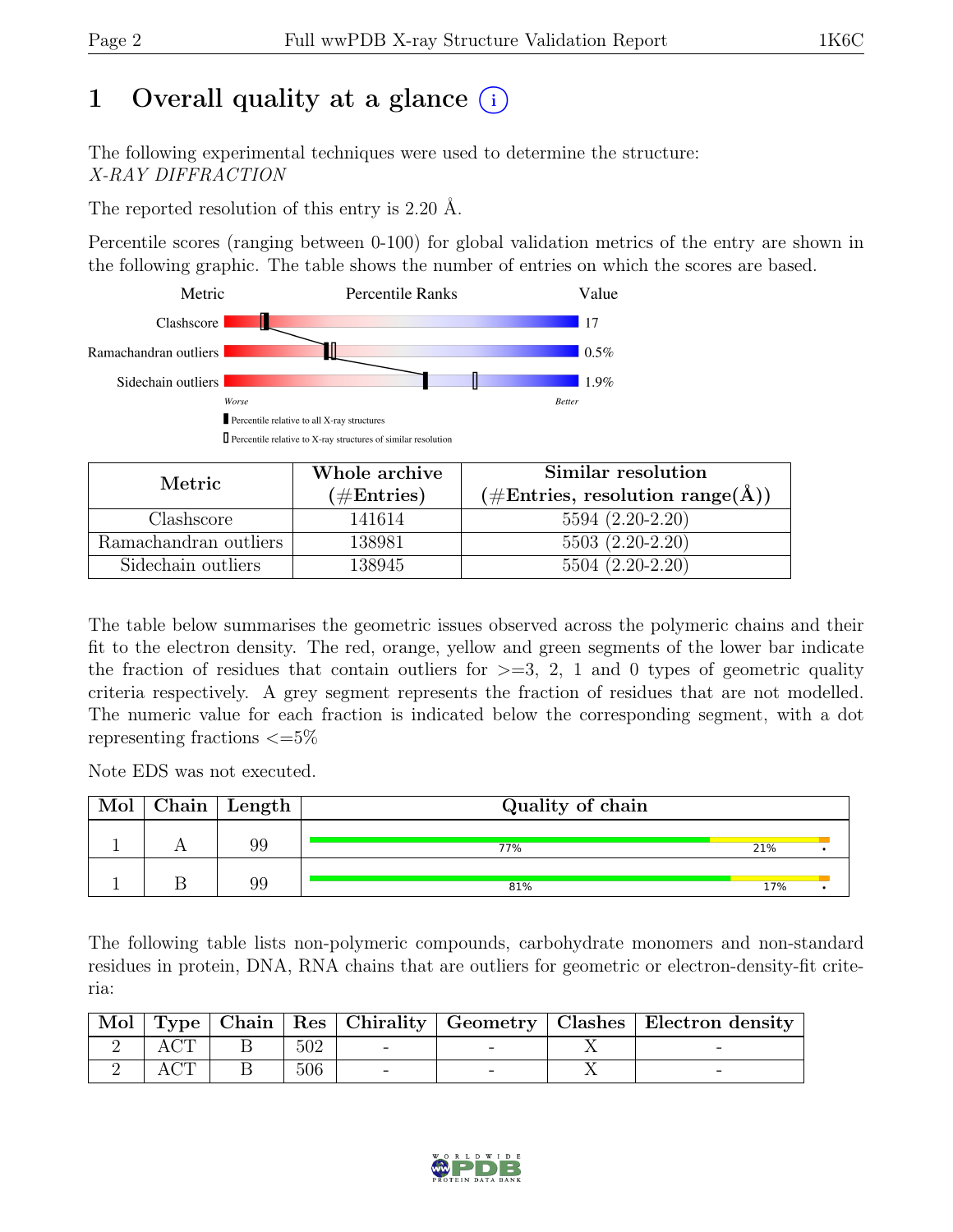# 1 Overall quality at a glance  $(i)$

The following experimental techniques were used to determine the structure: X-RAY DIFFRACTION

The reported resolution of this entry is 2.20 Å.

Percentile scores (ranging between 0-100) for global validation metrics of the entry are shown in the following graphic. The table shows the number of entries on which the scores are based.



| Metric                | Whole archive | Similar resolution                                           |
|-----------------------|---------------|--------------------------------------------------------------|
|                       | $(\#Entries)$ | $(\#\text{Entries}, \, \text{resolution range}(\textup{A}))$ |
| Clashscore            | 141614        | $5594(2.20-2.20)$                                            |
| Ramachandran outliers | 138981        | $5503(2.20-2.20)$                                            |
| Sidechain outliers    | 138945        | $5504(2.20-2.20)$                                            |

The table below summarises the geometric issues observed across the polymeric chains and their fit to the electron density. The red, orange, yellow and green segments of the lower bar indicate the fraction of residues that contain outliers for  $\geq$ =3, 2, 1 and 0 types of geometric quality criteria respectively. A grey segment represents the fraction of residues that are not modelled. The numeric value for each fraction is indicated below the corresponding segment, with a dot representing fractions  $\leq=5\%$ 

Note EDS was not executed.

| Mol | ${\rm Chain \mid Length}$ | Quality of chain |     |  |
|-----|---------------------------|------------------|-----|--|
|     | 99                        | 77%              | 21% |  |
|     | 99                        | 81%              | 17% |  |

The following table lists non-polymeric compounds, carbohydrate monomers and non-standard residues in protein, DNA, RNA chains that are outliers for geometric or electron-density-fit criteria:

|  |     |  | Mol   Type   Chain   Res   Chirality   Geometry   Clashes   Electron density |
|--|-----|--|------------------------------------------------------------------------------|
|  | 502 |  |                                                                              |
|  | 506 |  |                                                                              |

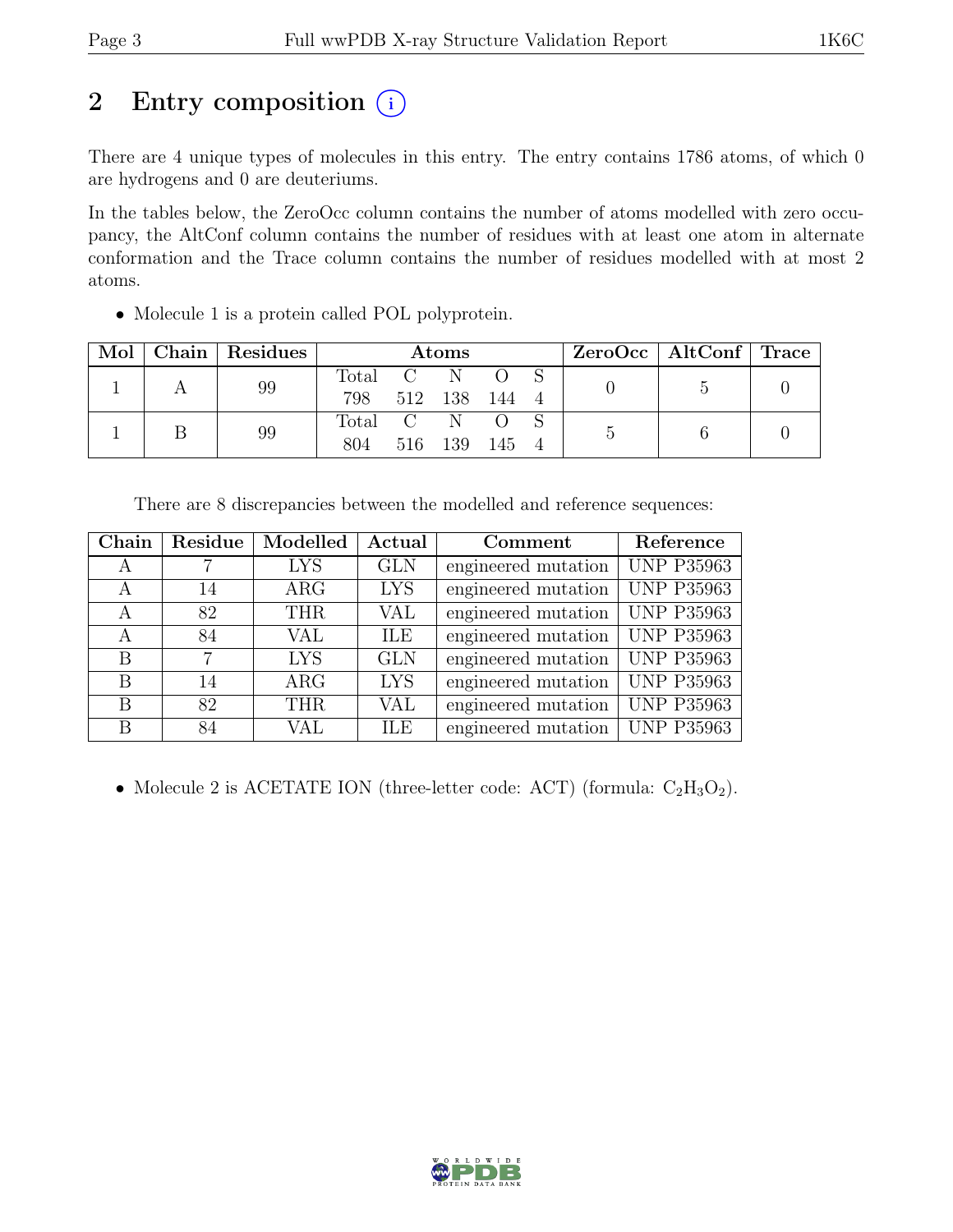# 2 Entry composition  $(i)$

There are 4 unique types of molecules in this entry. The entry contains 1786 atoms, of which 0 are hydrogens and 0 are deuteriums.

In the tables below, the ZeroOcc column contains the number of atoms modelled with zero occupancy, the AltConf column contains the number of residues with at least one atom in alternate conformation and the Trace column contains the number of residues modelled with at most 2 atoms.

• Molecule 1 is a protein called POL polyprotein.

| Mol | Chain   Residues | Atoms   |         |     |       |  | $ZeroOcc \mid AltConf \mid Trace \mid$ |  |
|-----|------------------|---------|---------|-----|-------|--|----------------------------------------|--|
|     | 99               | Total   | C N     |     |       |  |                                        |  |
|     |                  | 798     | 512 138 |     | - 144 |  |                                        |  |
|     | 99               | Total C |         | - N |       |  |                                        |  |
|     |                  | 804     | 516     | 139 | - 145 |  |                                        |  |

There are 8 discrepancies between the modelled and reference sequences:

| Chain | Residue        | Modelled   | Actual     | Comment             | Reference         |
|-------|----------------|------------|------------|---------------------|-------------------|
| A     |                | <b>LYS</b> | <b>GLN</b> | engineered mutation | <b>UNP P35963</b> |
| A     | 14             | $\rm{ARG}$ | <b>LYS</b> | engineered mutation | <b>UNP P35963</b> |
| A     | 82             | <b>THR</b> | <b>VAL</b> | engineered mutation | <b>UNP P35963</b> |
| А     | 84             | VAL        | ILE        | engineered mutation | <b>UNP P35963</b> |
| B     | $\overline{7}$ | <b>LYS</b> | <b>GLN</b> | engineered mutation | <b>UNP P35963</b> |
| B     | 14             | $\rm{ARG}$ | <b>LYS</b> | engineered mutation | <b>UNP P35963</b> |
| B     | 82             | <b>THR</b> | VAL        | engineered mutation | <b>UNP P35963</b> |
| В     | 84             | VAL        | <b>ILE</b> | engineered mutation | <b>UNP P35963</b> |

• Molecule 2 is ACETATE ION (three-letter code: ACT) (formula:  $C_2H_3O_2$ ).

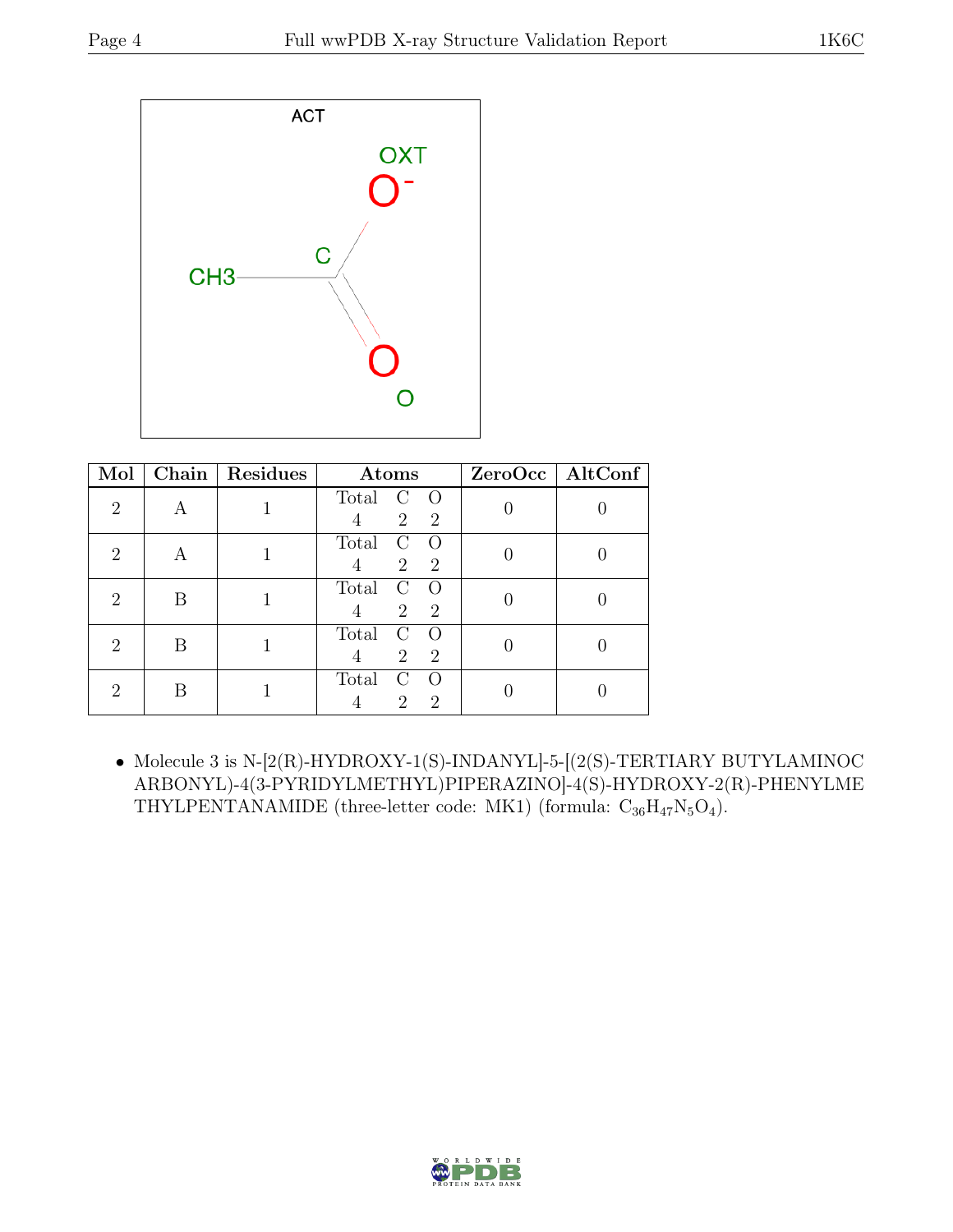

| Mol                         | Chain | Residues | Atoms                                                                       | ZeroOcc   AltConf |
|-----------------------------|-------|----------|-----------------------------------------------------------------------------|-------------------|
| $\overline{2}$              |       |          | Total<br>$\left( \right)$<br>$\left( \ \right)$<br>2<br>$\overline{2}$<br>4 |                   |
| $\overline{2}$              | A     |          | Total<br>$\Omega$<br>$\mathcal{C}$<br>$\overline{2}$<br>$\overline{2}$<br>4 |                   |
| $\overline{2}$              | В     |          | Total<br>$\left( \cdot \right)$<br>$\left( \right)$<br>2<br>$\overline{2}$  |                   |
| $\mathcal{D}_{\mathcal{L}}$ | В     |          | Total<br>2<br>$\overline{2}$                                                |                   |
| $\overline{2}$              | В     |          | Total<br>$\Omega$<br>€<br>$\mathcal{D}_{\mathcal{L}}$<br>2                  |                   |

 $\bullet$  Molecule 3 is N-[2(R)-HYDROXY-1(S)-INDANYL]-5-[(2(S)-TERTIARY BUTYLAMINOC ARBONYL)-4(3-PYRIDYLMETHYL)PIPERAZINO]-4(S)-HYDROXY-2(R)-PHENYLME THYLPENTANAMIDE (three-letter code: MK1) (formula:  $C_{36}H_{47}N_5O_4$ ).

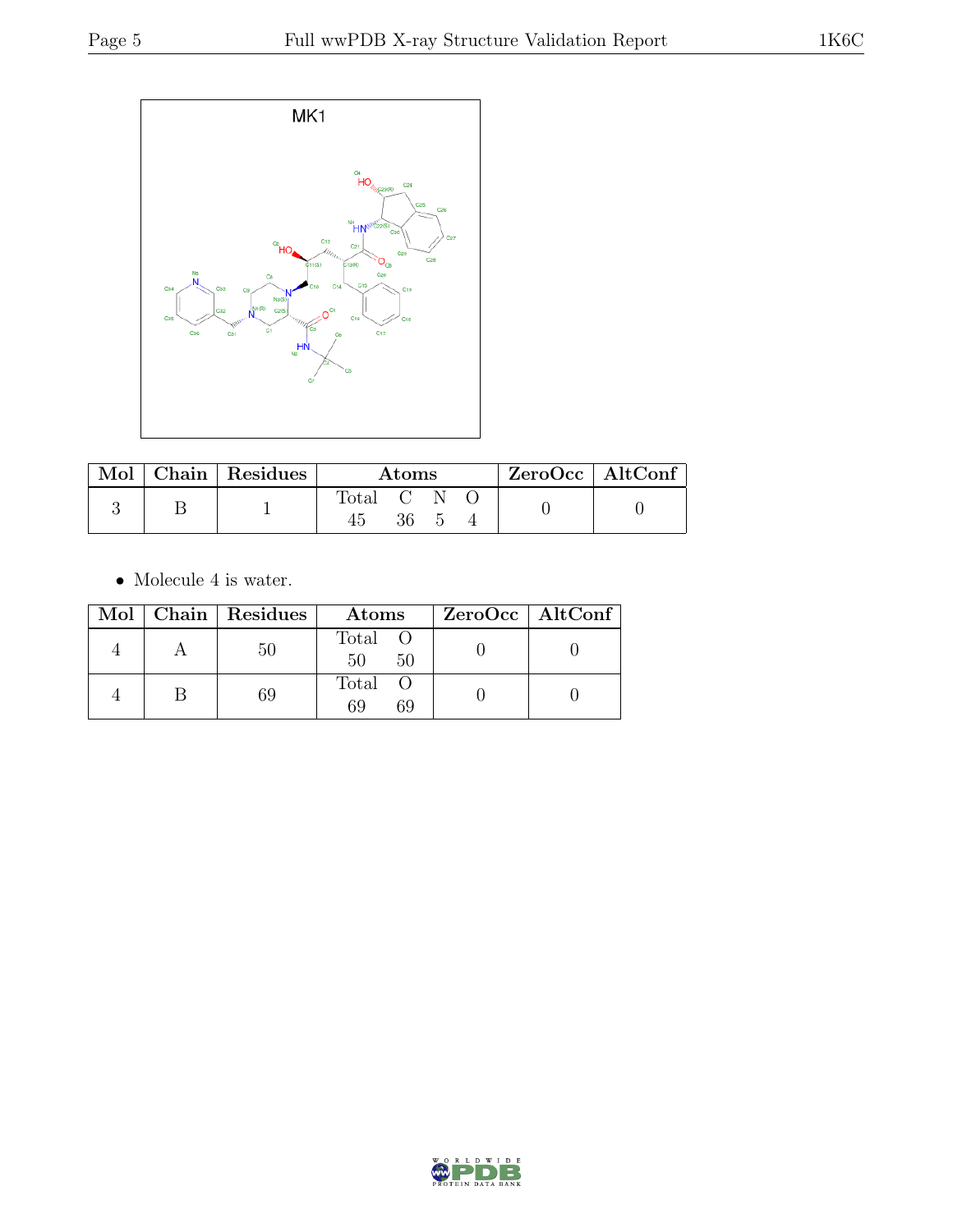

|  | Mol   Chain   Residues | Atoms     |  |  |  | $ZeroOcc \   \$ AltConf |
|--|------------------------|-----------|--|--|--|-------------------------|
|  |                        | Total C N |  |  |  |                         |

 $\bullet\,$  Molecule 4 is water.

|  | Mol   Chain   Residues | Atoms               | $ZeroOcc \   \$ AltConf |
|--|------------------------|---------------------|-------------------------|
|  | 50                     | Total O<br>50<br>50 |                         |
|  | 69                     | Total O<br>69<br>69 |                         |

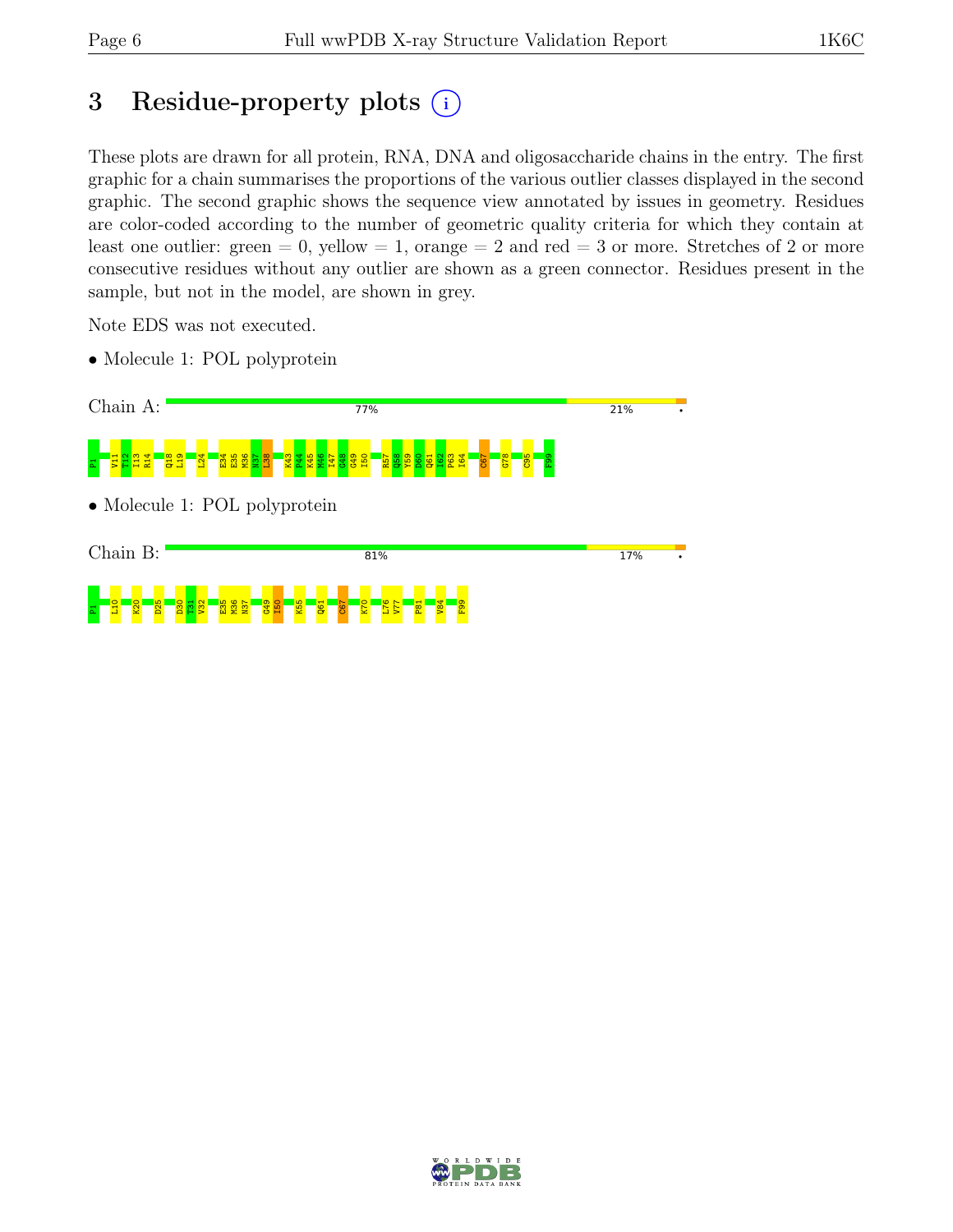# 3 Residue-property plots  $(i)$

These plots are drawn for all protein, RNA, DNA and oligosaccharide chains in the entry. The first graphic for a chain summarises the proportions of the various outlier classes displayed in the second graphic. The second graphic shows the sequence view annotated by issues in geometry. Residues are color-coded according to the number of geometric quality criteria for which they contain at least one outlier: green  $= 0$ , yellow  $= 1$ , orange  $= 2$  and red  $= 3$  or more. Stretches of 2 or more consecutive residues without any outlier are shown as a green connector. Residues present in the sample, but not in the model, are shown in grey.

Note EDS was not executed.

• Molecule 1: POL polyprotein



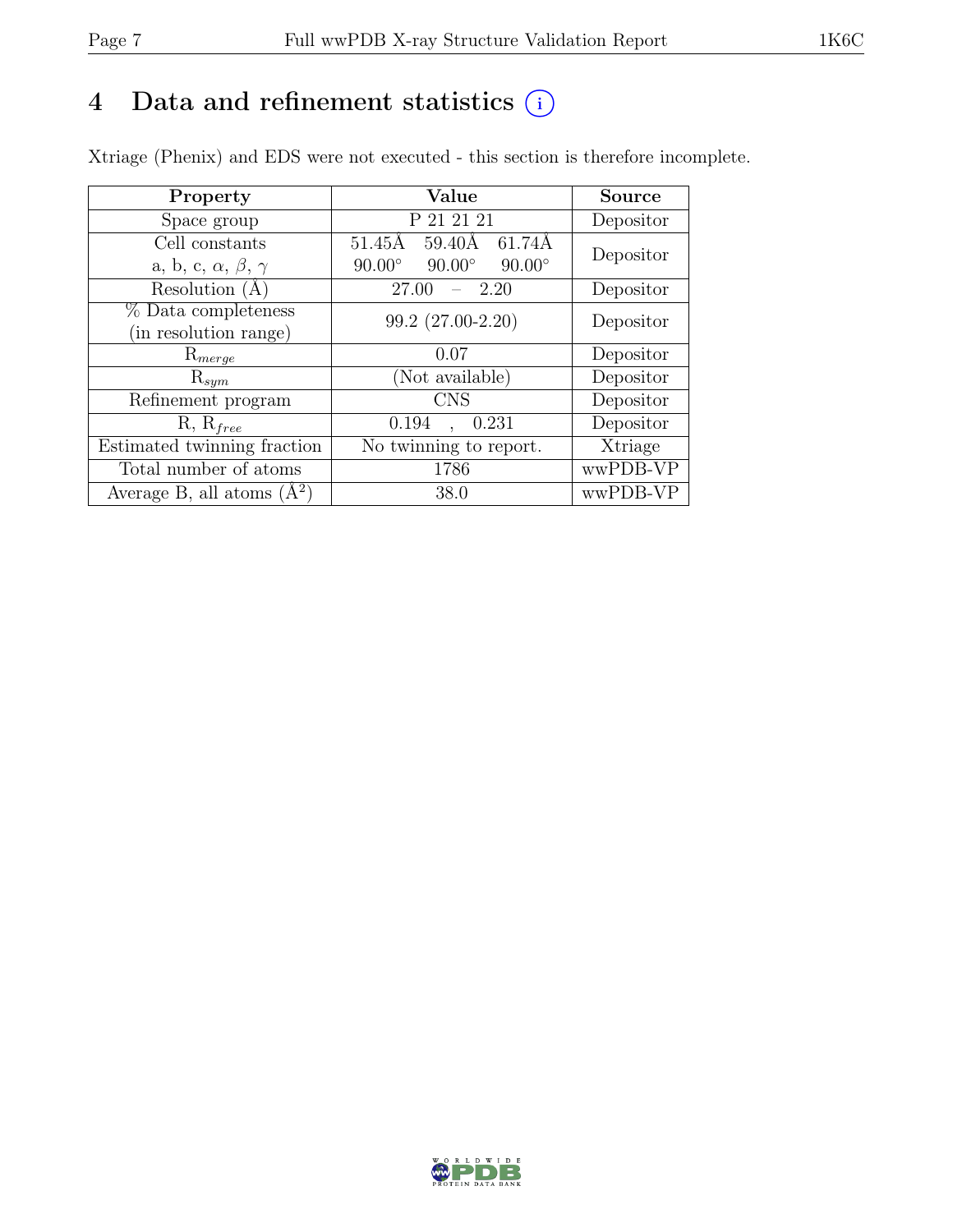# 4 Data and refinement statistics  $(i)$

Xtriage (Phenix) and EDS were not executed - this section is therefore incomplete.

| Property                               | Value                                           | <b>Source</b> |  |
|----------------------------------------|-------------------------------------------------|---------------|--|
| Space group                            | P 21 21 21                                      | Depositor     |  |
| Cell constants                         | $51.45\text{\AA}$<br>-61.74Å<br>59.40Å          | Depositor     |  |
| a, b, c, $\alpha$ , $\beta$ , $\gamma$ | $90.00^\circ$<br>$90.00^\circ$<br>$90.00^\circ$ |               |  |
| Resolution $(A)$                       | 2.20<br>27.00                                   | Depositor     |  |
| % Data completeness                    | 99.2 (27.00-2.20)                               | Depositor     |  |
| (in resolution range)                  |                                                 |               |  |
| $\mathrm{R}_{merge}$                   | 0.07                                            | Depositor     |  |
| $\mathrm{R}_{sym}$                     | (Not available)                                 | Depositor     |  |
| Refinement program                     | <b>CNS</b>                                      | Depositor     |  |
| $R, R_{free}$                          | 0.194<br>0.231                                  | Depositor     |  |
| Estimated twinning fraction            | No twinning to report.                          | Xtriage       |  |
| Total number of atoms                  | 1786                                            | wwPDB-VP      |  |
| Average B, all atoms $(A^2)$           | 38.0                                            | wwPDB-VP      |  |

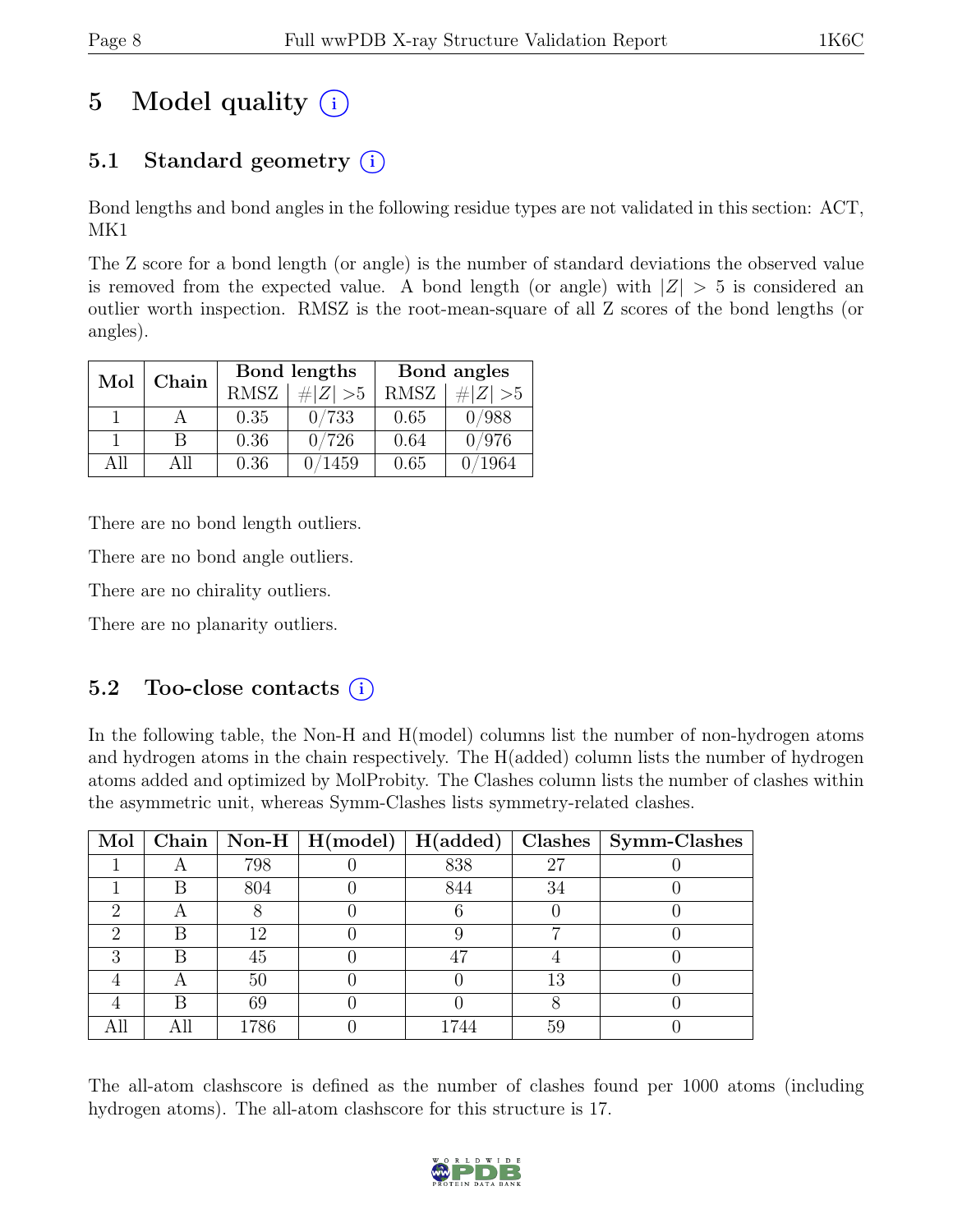# 5 Model quality  $(i)$

# 5.1 Standard geometry  $(i)$

Bond lengths and bond angles in the following residue types are not validated in this section: ACT, MK1

The Z score for a bond length (or angle) is the number of standard deviations the observed value is removed from the expected value. A bond length (or angle) with  $|Z| > 5$  is considered an outlier worth inspection. RMSZ is the root-mean-square of all Z scores of the bond lengths (or angles).

| Mol  | Chain |             | Bond lengths | Bond angles |             |  |
|------|-------|-------------|--------------|-------------|-------------|--|
|      |       | <b>RMSZ</b> | # $ Z  > 5$  | <b>RMSZ</b> | # $ Z  > 5$ |  |
|      |       | 0.35        | 0/733        | 0.65        | 0/988       |  |
|      | В     | 0.36        | 0/726        | 0.64        | 0/976       |  |
| A 11 | All   | 0.36        | /1459        | 0.65        | 1964        |  |

There are no bond length outliers.

There are no bond angle outliers.

There are no chirality outliers.

There are no planarity outliers.

# 5.2 Too-close contacts  $(i)$

In the following table, the Non-H and H(model) columns list the number of non-hydrogen atoms and hydrogen atoms in the chain respectively. The H(added) column lists the number of hydrogen atoms added and optimized by MolProbity. The Clashes column lists the number of clashes within the asymmetric unit, whereas Symm-Clashes lists symmetry-related clashes.

| Mol |      | $\boxed{\text{Chain} \mid \text{Non-H} \mid \text{H}(\text{model})}$ | H(added) |    | Clashes   Symm-Clashes |
|-----|------|----------------------------------------------------------------------|----------|----|------------------------|
|     | 798  |                                                                      | 838      | 27 |                        |
|     | 804  |                                                                      | 844      | 34 |                        |
|     |      |                                                                      |          |    |                        |
|     | 12   |                                                                      |          |    |                        |
|     | 45   |                                                                      | 47       |    |                        |
|     | 50   |                                                                      |          | 13 |                        |
|     | 69   |                                                                      |          |    |                        |
|     | 1786 |                                                                      | 1744     | 59 |                        |

The all-atom clashscore is defined as the number of clashes found per 1000 atoms (including hydrogen atoms). The all-atom clashscore for this structure is 17.

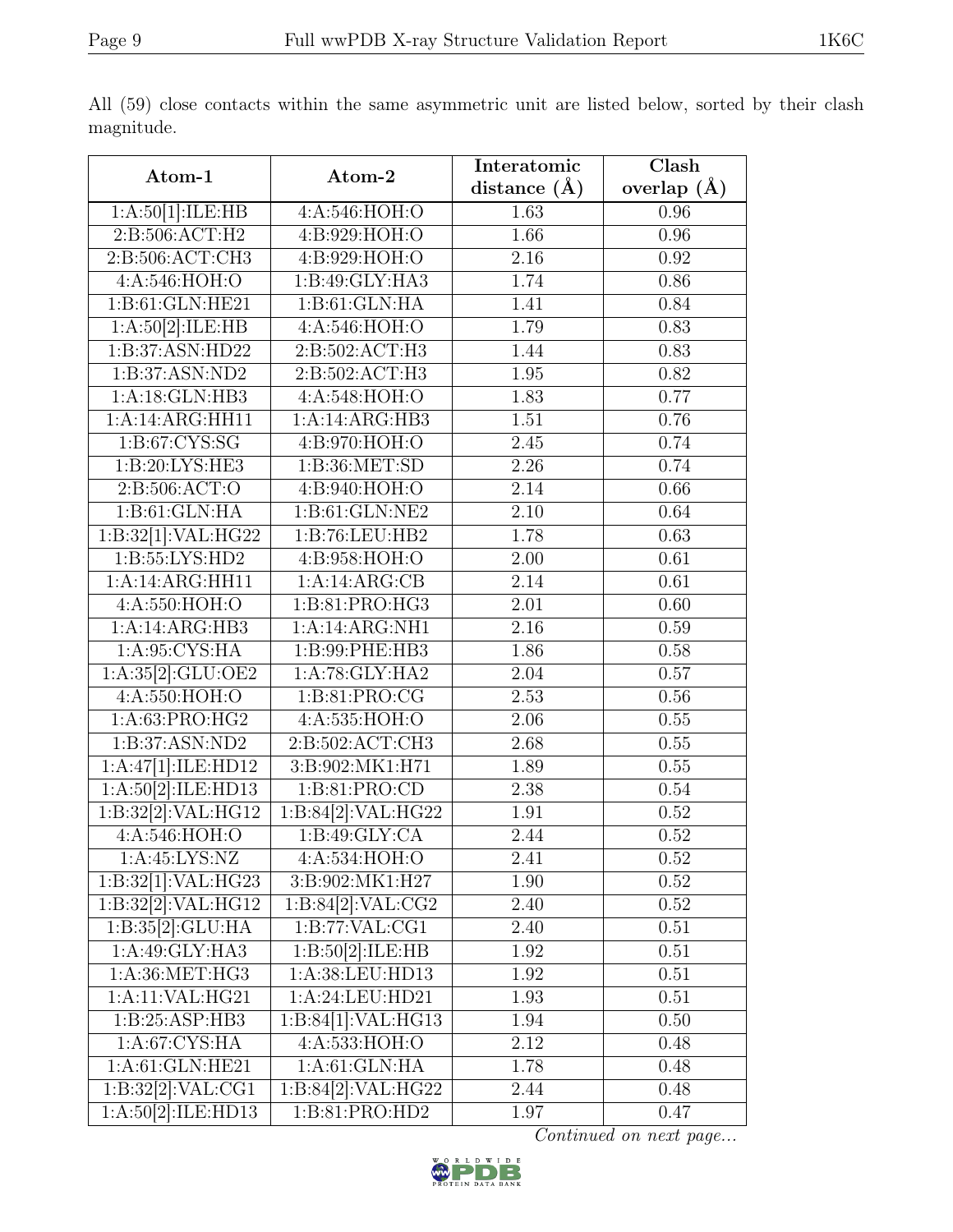|                                 |                               | Interatomic       | $\overline{\text{Clash}}$ |  |
|---------------------------------|-------------------------------|-------------------|---------------------------|--|
| Atom-1                          | Atom-2                        | distance $(A)$    | overlap $(A)$             |  |
| 1:A:50[1]:ILE:HB                | 4:A:546:HOH:O                 | 1.63              | 0.96                      |  |
| 2: B: 506: ACT:H2               | 4:B:929:HOH:O                 | 1.66              | 0.96                      |  |
| 2: B: 506: ACT: CH3             | 4:B:929:HOH:O                 | 2.16              | 0.92                      |  |
| 4:A:546:HOH:O                   | 1:B:49:GLY:HA3                | 1.74              | 0.86                      |  |
| 1:B:61:GLN:HE21                 | 1: B:61: GLN: HA              | 1.41              | 0.84                      |  |
| 1:A:50[2]:ILE:HB                | 4:A:546:HOH:O                 | 1.79              | 0.83                      |  |
| 1:B:37:ASN:HD22                 | 2:B:502:ACT:H3                | 1.44              | 0.83                      |  |
| 1:B:37:ASN:ND2                  | $2: B:502:ACT: \overline{H3}$ | 1.95              | 0.82                      |  |
| 1:A:18:GLN:HB3                  | 4:A:548:HOH:O                 | 1.83              | 0.77                      |  |
| 1:A:14:ARG:HH11                 | 1:A:14:ARG:HB3                | 1.51              | 0.76                      |  |
| 1: B:67: CYS:SG                 | 4:B:970:HOH:O                 | 2.45              | 0.74                      |  |
| 1:B:20:LYS:HE3                  | 1: B:36: MET:SD               | 2.26              | 0.74                      |  |
| 2: B: 506: ACT: O               | 4:B:940:HOH:O                 | 2.14              | 0.66                      |  |
| 1:B:61:GLN:HA                   | 1: B: 61: GLN: NE2            | $\overline{2.10}$ | 0.64                      |  |
| 1:B:32[1]:VAL:HG22              | 1:B:76:LEU:HB2                | 1.78              | 0.63                      |  |
| 1:5:55:LYS:HD2                  | 4:B:958:HOH:O                 | 2.00              | $\overline{0.61}$         |  |
| 1:A:14:ARG:HH11                 | 1:A:4:ARG:CB                  | 2.14              | 0.61                      |  |
| 4:A:550:HOH:O                   | 1:B:81:PRO:HG3                | 2.01              | 0.60                      |  |
| 1:A:14:ARG:HB3                  | 1:A:14:ARG:NH1                | 2.16              | 0.59                      |  |
| 1: A:95: CYS: HA                | 1:B:99:PHE:HB3                | 1.86              | 0.58                      |  |
| 1:A:35[2]:GLU:OE2               | 1:A:78:GLY:HA2                | 2.04              | 0.57                      |  |
| 4:A:550:HOH:O                   | 1:B:81:PRO:CG                 | 2.53              | 0.56                      |  |
| 1:A:63:PRO:HG2                  | 4:A:535:HOH:O                 | 2.06              | 0.55                      |  |
| 1:B:37:ASN:ND2                  | 2:B:502:ACT:CH3               | 2.68              | 0.55                      |  |
| 1:A:47[1]:ILE:HD12              | 3:B:902:MK1:H71               | 1.89              | 0.55                      |  |
| 1:A:50[2]:ILE:HD13              | 1:B:81:PRO:CD                 | 2.38              | 0.54                      |  |
| $1:\overline{B:32[2]:}VAL:HG12$ | 1:B:84[2]:VAL:HG22            | 1.91              | 0.52                      |  |
| 4:A:546:HOH:O                   | 1: B:49: GLY:CA               | 2.44              | 0.52                      |  |
| 1:A:45:LYS:NZ                   | 4: A:534: HOH:O               | 2.41              | 0.52                      |  |
| 1:B:32[1]:VAL:HG23              | 3:B:902:MK1:H27               | 1.90              | 0.52                      |  |
| 1:B:32[2]:VAL:HG12              | 1:B:84[2]:VAL:CG2             | 2.40              | 0.52                      |  |
| 1: B:35[2]: GLU:HA              | 1:B:77:VAL:CG1                | 2.40              | 0.51                      |  |
| 1:A:49:GLY:HA3                  | 1:B:50[2]:ILE:HB              | 1.92              | 0.51                      |  |
| 1:A:36:MET:HG3                  | 1:A:38:LEU:HD13               | 1.92              | 0.51                      |  |
| 1:A:11:VAL:HG21                 | 1:A:24:LEU:HD21               | 1.93              | 0.51                      |  |
| 1:B:25:ASP:HB3                  | 1:B:84[1]:VAL:HG13            | 1.94              | 0.50                      |  |
| 1: A:67: CYS: HA                | 4:A:533:HOH:O                 | 2.12              | 0.48                      |  |
| 1:A:61:GLN:HE21                 | 1: A:61: GLN: HA              | 1.78              | 0.48                      |  |
| 1:B:32[2]:VAL:CG1               | 1:B:84[2]:VAL:HG22            | 2.44              | 0.48                      |  |
| 1:A:50[2]:ILE:HD13              | 1:B:81:PRO:HD2                | 1.97              | 0.47                      |  |

All (59) close contacts within the same asymmetric unit are listed below, sorted by their clash magnitude.

Continued on next page...

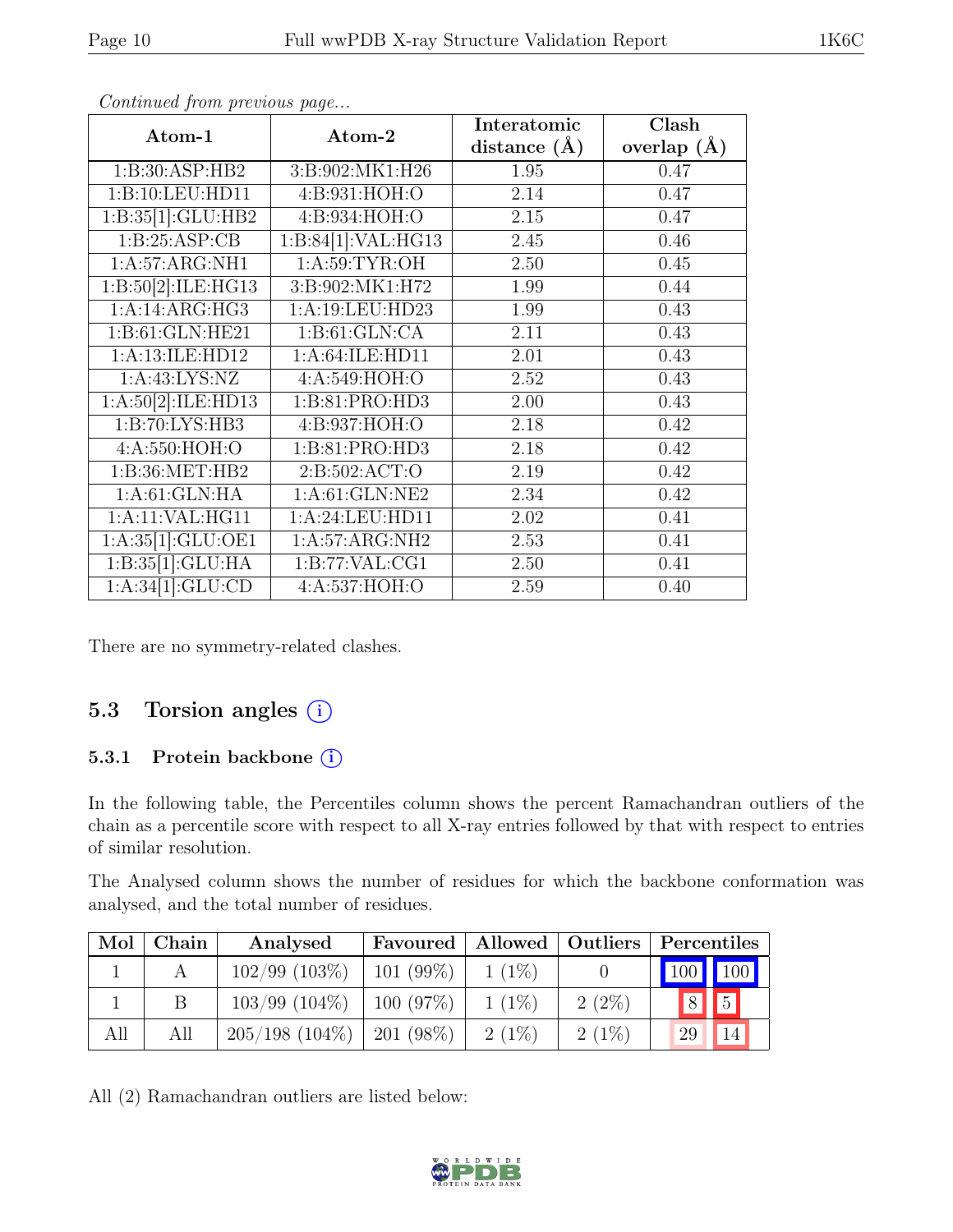| Atom-1                        | Atom-2             | Interatomic    | $\overline{\text{Clash}}$ |
|-------------------------------|--------------------|----------------|---------------------------|
|                               |                    | distance $(A)$ | overlap $(\AA)$           |
| 1:B:30:ASP:HB2                | 3:B:902:MK1:H26    | 1.95           | 0.47                      |
| 1:B:10:LEU:HD11               | 4:B:931:HOH:O      | 2.14           | 0.47                      |
| 1:B:35[1]:GLU:HB2             | 4:B:934:HOH:O      | 2.15           | 0.47                      |
| 1:B:25:ASP:CB                 | 1:B:84[1]:VAL:HG13 | 2.45           | 0.46                      |
| 1:A:57:ARG:NH1                | 1: A:59: TYR:OH    | 2.50           | 0.45                      |
| 1:B:50[2]:ILE:HG13            | 3:B:902:MK1:H72    | 1.99           | 0.44                      |
| 1:A:14:ARG:HG3                | 1:A:19:LEU:HD23    | 1.99           | 0.43                      |
| 1:B:61:GLN:HE21               | 1: B:61: GLN:CA    | 2.11           | 0.43                      |
| 1:A:13:ILE:HD12               | 1:A:64:ILE:HD11    | 2.01           | 0.43                      |
| 1: A: 43: LYS: NZ             | 4:A:549:HOH:O      | $2.52\,$       | 0.43                      |
| 1:A:50[2]:ILE:HD13            | 1:B:81:PRO:HD3     | 2.00           | 0.43                      |
| 1:B:70:LYS:HB3                | 4:B:937:HOH:O      | 2.18           | 0.42                      |
| 4:A:550:HOH:O                 | 1:B:81:PRO:HD3     | 2.18           | 0.42                      |
| 1: B:36: MET:HB2              | 2: B:502: ACT:O    | 2.19           | 0.42                      |
| 1:A:61:GLN:HA                 | 1:A:61:GLN:NE2     | 2.34           | 0.42                      |
| 1:A:11:VAL:HG11               | 1:A:24:LEU:HD11    | 2.02           | 0.41                      |
| 1:A:35[1]:GLU:OE1             | 1:A:57:ARG:NH2     | 2.53           | 0.41                      |
| 1:B:35[1]:GLU:HA              | 1:B:77:VAL:CG1     | 2.50           | 0.41                      |
| $1:\overline{A:34[1]:GLU:CD}$ | 4:A:537:HOH:O      | 2.59           | 0.40                      |

Continued from previous page...

There are no symmetry-related clashes.

### 5.3 Torsion angles  $(i)$

#### 5.3.1 Protein backbone (i)

In the following table, the Percentiles column shows the percent Ramachandran outliers of the chain as a percentile score with respect to all X-ray entries followed by that with respect to entries of similar resolution.

The Analysed column shows the number of residues for which the backbone conformation was analysed, and the total number of residues.

| Mol | Chain | Analysed           | Favoured   Allowed   Outliers |          |          | $\vert$ Percentiles |
|-----|-------|--------------------|-------------------------------|----------|----------|---------------------|
|     |       | $102/99$ (103\%)   | $101(99\%)$                   | $1(1\%)$ |          | $100$ 100           |
|     |       | $103/99$ $(104\%)$ | 100(97%)                      | $1(1\%)$ | $2(2\%)$ | $\boxed{5}$<br> 8   |
| All | All   | $205/198$ (104\%)  | $1201(98\%)$                  | $2(1\%)$ | $2(1\%)$ | 14<br>29            |

All (2) Ramachandran outliers are listed below:

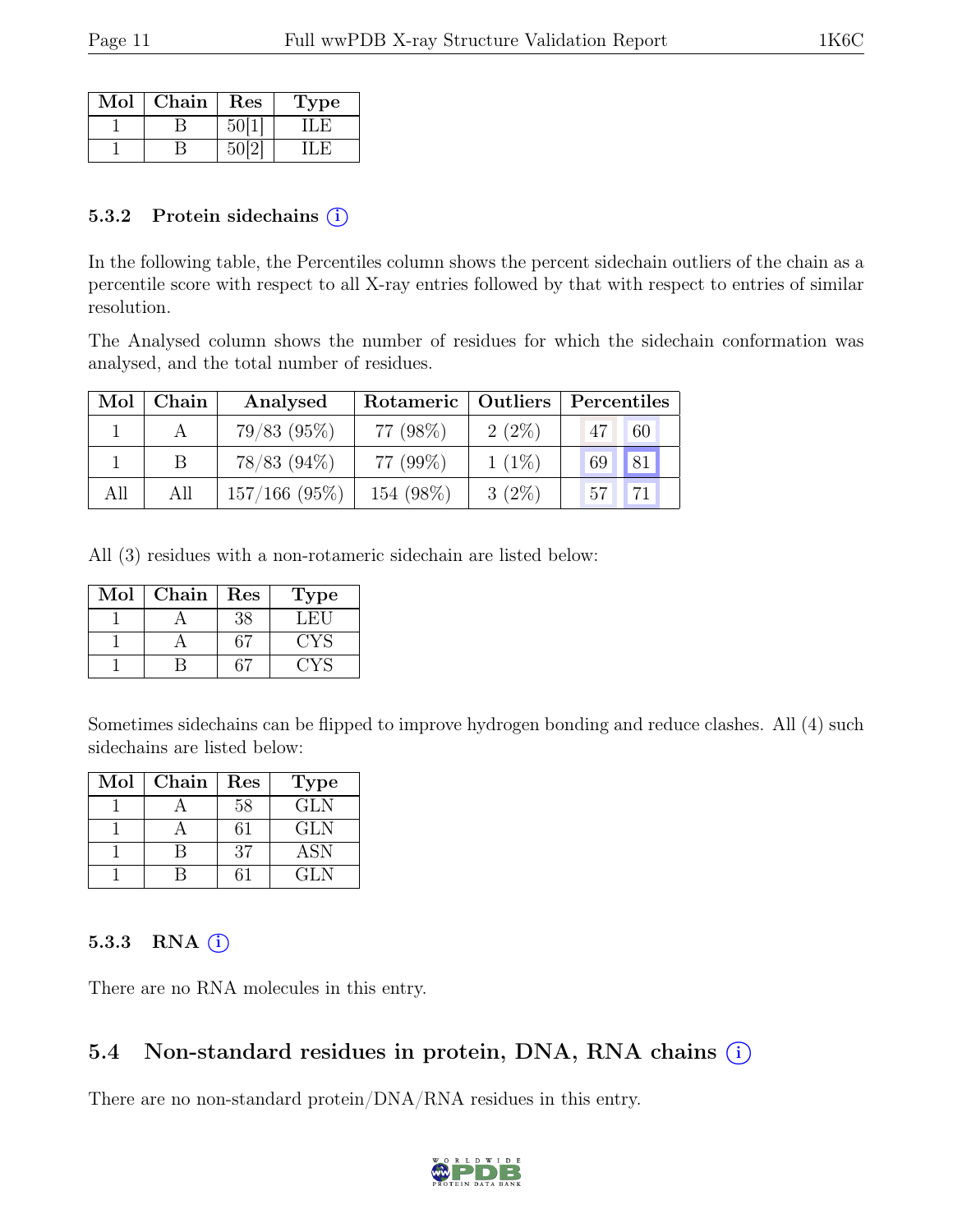| Mol | ${\rm Chain}$ | Res | L'ype |
|-----|---------------|-----|-------|
|     |               |     |       |
|     |               |     |       |

#### 5.3.2 Protein sidechains (i)

In the following table, the Percentiles column shows the percent sidechain outliers of the chain as a percentile score with respect to all X-ray entries followed by that with respect to entries of similar resolution.

The Analysed column shows the number of residues for which the sidechain conformation was analysed, and the total number of residues.

| Mol | Chain | Analysed        | Rotameric   Outliers |          | Percentiles     |
|-----|-------|-----------------|----------------------|----------|-----------------|
|     |       | $79/83$ (95%)   | 77 (98%)             | $2(2\%)$ | 47<br>60        |
|     |       | $78/83$ (94\%)  | 77 (99%)             | $1(1\%)$ | 81 <br>69       |
| All | All   | $157/166$ (95%) | 154 (98%)            | $3(2\%)$ | 57 <sub>1</sub> |

All (3) residues with a non-rotameric sidechain are listed below:

| $\operatorname{Mol}$ | Chain | $\operatorname{Res}% \left( \mathcal{N}\right) \equiv\operatorname*{Res}\left( \mathcal{N}\right)$ | Type |
|----------------------|-------|----------------------------------------------------------------------------------------------------|------|
|                      |       | 38                                                                                                 | .H.  |
|                      |       |                                                                                                    | ∵YS  |
|                      |       |                                                                                                    |      |

Sometimes sidechains can be flipped to improve hydrogen bonding and reduce clashes. All (4) such sidechains are listed below:

| Mol | Chain | Res | <b>Type</b> |
|-----|-------|-----|-------------|
|     |       | 58  | <b>GLN</b>  |
|     |       | 31  | GLN         |
|     |       | 37  | <b>ASN</b>  |
|     |       |     | GLN.        |

#### 5.3.3 RNA  $(i)$

There are no RNA molecules in this entry.

### 5.4 Non-standard residues in protein, DNA, RNA chains  $\circ$

There are no non-standard protein/DNA/RNA residues in this entry.

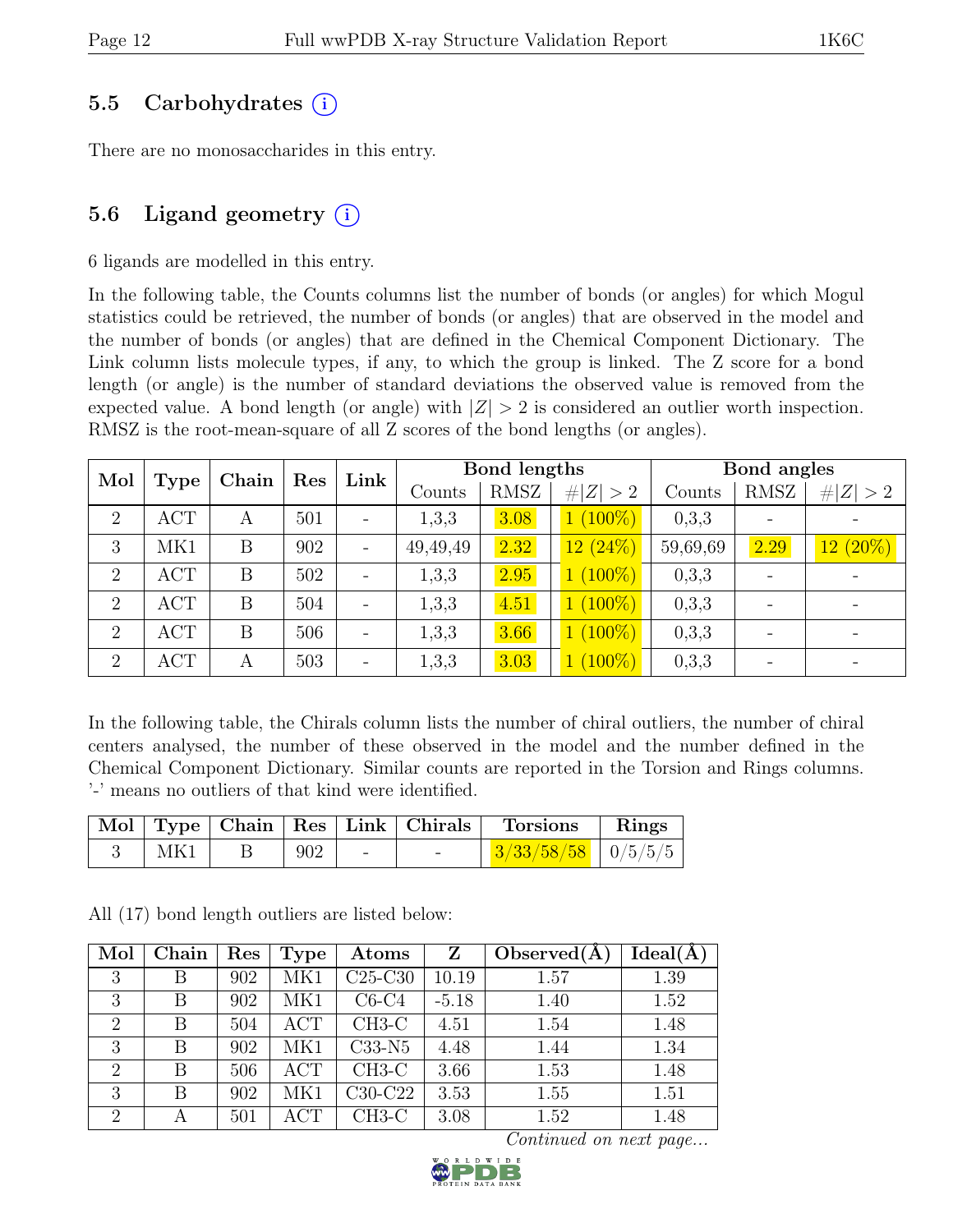# 5.5 Carbohydrates (i)

There are no monosaccharides in this entry.

# 5.6 Ligand geometry  $(i)$

6 ligands are modelled in this entry.

In the following table, the Counts columns list the number of bonds (or angles) for which Mogul statistics could be retrieved, the number of bonds (or angles) that are observed in the model and the number of bonds (or angles) that are defined in the Chemical Component Dictionary. The Link column lists molecule types, if any, to which the group is linked. The Z score for a bond length (or angle) is the number of standard deviations the observed value is removed from the expected value. A bond length (or angle) with  $|Z| > 2$  is considered an outlier worth inspection. RMSZ is the root-mean-square of all Z scores of the bond lengths (or angles).

| Mol            | Chain <sup>1</sup> |   |     |                          |          | Res     | Link       |          | Bond lengths |            |  | Bond angles |  |
|----------------|--------------------|---|-----|--------------------------|----------|---------|------------|----------|--------------|------------|--|-------------|--|
|                | <b>Type</b>        |   |     | Counts                   | RMSZ     | Z   > 2 | Counts     | RMSZ     | Z   > 2      |            |  |             |  |
| $\overline{2}$ | <b>ACT</b>         | А | 501 | $\overline{\phantom{a}}$ | 1,3,3    | 3.08    | $1(100\%)$ | 0,3,3    |              |            |  |             |  |
| 3              | MK1                | B | 902 | $\qquad \qquad -$        | 49,49,49 | 2.32    | $12(24\%)$ | 59,69,69 | 2.29         | $12(20\%)$ |  |             |  |
| $\overline{2}$ | <b>ACT</b>         | B | 502 | $\overline{\phantom{a}}$ | 1,3,3    | 2.95    | $1(100\%)$ | 0,3,3    |              |            |  |             |  |
| $\overline{2}$ | <b>ACT</b>         | B | 504 | $\overline{\phantom{a}}$ | 1,3,3    | 4.51    | $1(100\%)$ | 0,3,3    |              |            |  |             |  |
| $\overline{2}$ | <b>ACT</b>         | B | 506 | $\overline{\phantom{0}}$ | 1,3,3    | 3.66    | $1(100\%)$ | 0,3,3    |              |            |  |             |  |
| 2              | <b>ACT</b>         | А | 503 | $\overline{\phantom{m}}$ | 1,3,3    | 3.03    | $1(100\%)$ | 0,3,3    |              |            |  |             |  |

In the following table, the Chirals column lists the number of chiral outliers, the number of chiral centers analysed, the number of these observed in the model and the number defined in the Chemical Component Dictionary. Similar counts are reported in the Torsion and Rings columns. '-' means no outliers of that kind were identified.

|     |     |  | $\mid$ Mol $\mid$ Type $\mid$ Chain $\mid$ Res $\mid$ Link $\mid$ Chirals $\mid$ Torsions | $\mathbf{Rings}$ |
|-----|-----|--|-------------------------------------------------------------------------------------------|------------------|
| MK1 | 902 |  | $\frac{3}{333/58/58}$   0/5/5/5                                                           |                  |

All (17) bond length outliers are listed below:

| Mol            | Chain | Res | Type       | $\rm{Atoms}$ | Z       | Observed $(A)$ | Ideal(A) |
|----------------|-------|-----|------------|--------------|---------|----------------|----------|
| 3              | В     | 902 | MK1        | $C25-C30$    | 10.19   | 1.57           | 1.39     |
| 3              | В     | 902 | MK1        | $C6-C4$      | $-5.18$ | 1.40           | 1.52     |
| $\overline{2}$ | В     | 504 | <b>ACT</b> | $CH3-C$      | 4.51    | 1.54           | 1.48     |
| 3              | В     | 902 | MK1        | $C33-N5$     | 4.48    | 1.44           | 1.34     |
| $\overline{2}$ | В     | 506 | <b>ACT</b> | $CH3-C$      | 3.66    | 1.53           | 1.48     |
| 3              | В     | 902 | MK1        | $C30-C22$    | 3.53    | 1.55           | 1.51     |
| $\overline{2}$ | А     | 501 | <b>ACT</b> | $CH3-C$      | 3.08    | 1.52           | 1.48     |

Continued on next page...

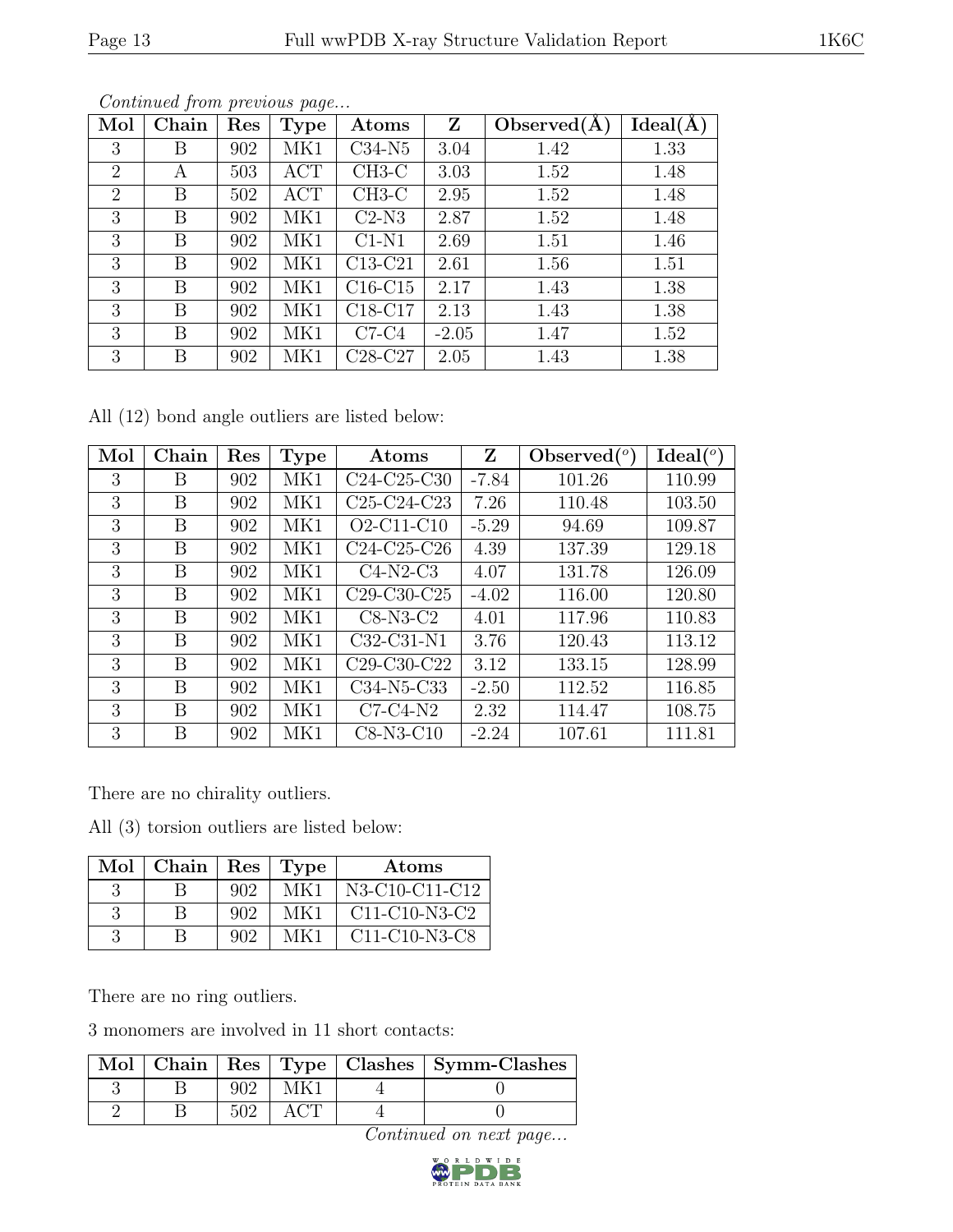| Mol            | Chain | Res | <b>Type</b> | Atoms     | Z       | Observed(A) | $Ideal(\AA)$ |
|----------------|-------|-----|-------------|-----------|---------|-------------|--------------|
| 3              | Β     | 902 | MK1         | $C34-N5$  | 3.04    | 1.42        | 1.33         |
| $\overline{2}$ | А     | 503 | ACT         | $CH3-C$   | 3.03    | 1.52        | 1.48         |
| $\overline{2}$ | В     | 502 | ACT         | $CH3-C$   | 2.95    | 1.52        | 1.48         |
| 3              | Β     | 902 | MK1         | $C2-N3$   | 2.87    | 1.52        | 1.48         |
| 3              | B     | 902 | MK1         | $C1-N1$   | 2.69    | 1.51        | 1.46         |
| 3              | В     | 902 | MK1         | $C13-C21$ | 2.61    | 1.56        | 1.51         |
| 3              | В     | 902 | MK1         | $C16-C15$ | 2.17    | 1.43        | 1.38         |
| 3              | В     | 902 | MK1         | $C18-C17$ | 2.13    | 1.43        | 1.38         |
| 3              | В     | 902 | MK1         | $C7-C4$   | $-2.05$ | 1.47        | 1.52         |
| 3              | В     | 902 | MK1         | $C28-C27$ | 2.05    | 1.43        | 1.38         |

Continued from previous page...

All (12) bond angle outliers are listed below:

| Mol | Chain | Res | Type | Atoms         | Z       | Observed $\binom{o}{c}$ | Ideal (°) |
|-----|-------|-----|------|---------------|---------|-------------------------|-----------|
| 3   | В     | 902 | MK1  | $C24-C25-C30$ | $-7.84$ | 101.26                  | 110.99    |
| 3   | Β     | 902 | MK1  | $C25-C24-C23$ | 7.26    | 110.48                  | 103.50    |
| 3   | В     | 902 | MK1  | $O2-C11-C10$  | $-5.29$ | 94.69                   | 109.87    |
| 3   | В     | 902 | MK1  | $C24-C25-C26$ | 4.39    | 137.39                  | 129.18    |
| 3   | B     | 902 | MK1  | $C4-N2-C3$    | 4.07    | 131.78                  | 126.09    |
| 3   | В     | 902 | MK1  | $C29-C30-C25$ | $-4.02$ | 116.00                  | 120.80    |
| 3   | В     | 902 | MK1  | $C8-N3-C2$    | 4.01    | 117.96                  | 110.83    |
| 3   | В     | 902 | MK1  | $C32-C31-N1$  | 3.76    | 120.43                  | 113.12    |
| 3   | Β     | 902 | MK1  | $C29-C30-C22$ | 3.12    | 133.15                  | 128.99    |
| 3   | В     | 902 | MK1  | C34-N5-C33    | $-2.50$ | 112.52                  | 116.85    |
| 3   | В     | 902 | MK1  | $C7-C4-N2$    | 2.32    | 114.47                  | 108.75    |
| 3   | В     | 902 | MK1  | $C8-N3-C10$   | $-2.24$ | 107.61                  | 111.81    |

There are no chirality outliers.

All (3) torsion outliers are listed below:

| Mol | Chain |     | Res   Type | Atoms                                                            |
|-----|-------|-----|------------|------------------------------------------------------------------|
|     |       | 902 | MK1        | N3-C10-C11-C12                                                   |
|     |       | 902 | MK1        | $C11-C10-N3-C2$                                                  |
|     |       | 902 | MK 1       | C <sub>11</sub> -C <sub>10</sub> -N <sub>3</sub> -C <sub>8</sub> |

There are no ring outliers.

3 monomers are involved in 11 short contacts:

|  |  | Mol   Chain   Res   Type   Clashes   Symm-Clashes |
|--|--|---------------------------------------------------|
|  |  |                                                   |
|  |  |                                                   |

Continued on next page...

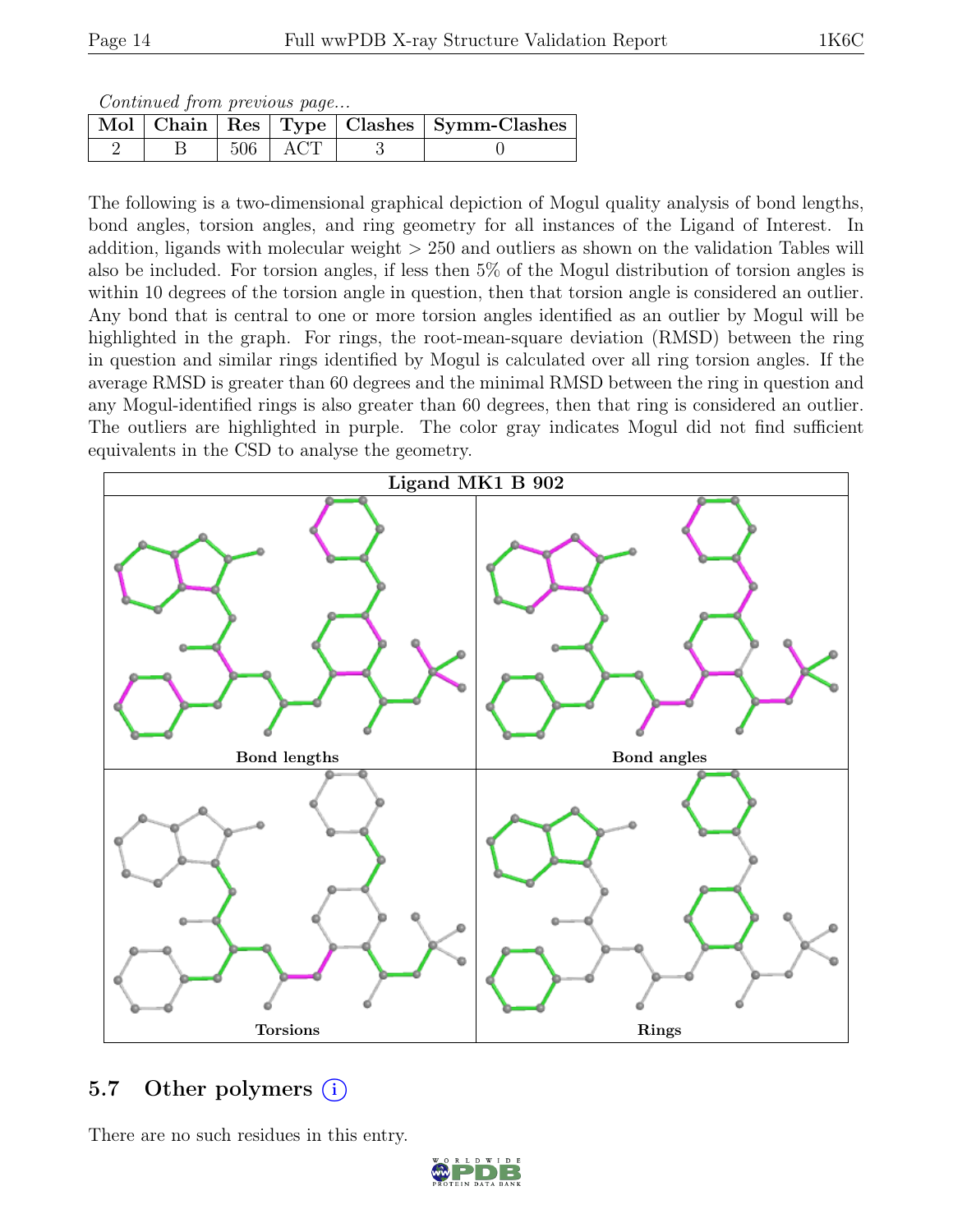Continued from previous page...

|  |             | Mol   Chain   Res   Type   Clashes   Symm-Clashes |
|--|-------------|---------------------------------------------------|
|  | $506$   ACT |                                                   |

The following is a two-dimensional graphical depiction of Mogul quality analysis of bond lengths, bond angles, torsion angles, and ring geometry for all instances of the Ligand of Interest. In addition, ligands with molecular weight  $> 250$  and outliers as shown on the validation Tables will also be included. For torsion angles, if less then 5% of the Mogul distribution of torsion angles is within 10 degrees of the torsion angle in question, then that torsion angle is considered an outlier. Any bond that is central to one or more torsion angles identified as an outlier by Mogul will be highlighted in the graph. For rings, the root-mean-square deviation (RMSD) between the ring in question and similar rings identified by Mogul is calculated over all ring torsion angles. If the average RMSD is greater than 60 degrees and the minimal RMSD between the ring in question and any Mogul-identified rings is also greater than 60 degrees, then that ring is considered an outlier. The outliers are highlighted in purple. The color gray indicates Mogul did not find sufficient equivalents in the CSD to analyse the geometry.



# 5.7 Other polymers  $(i)$

There are no such residues in this entry.

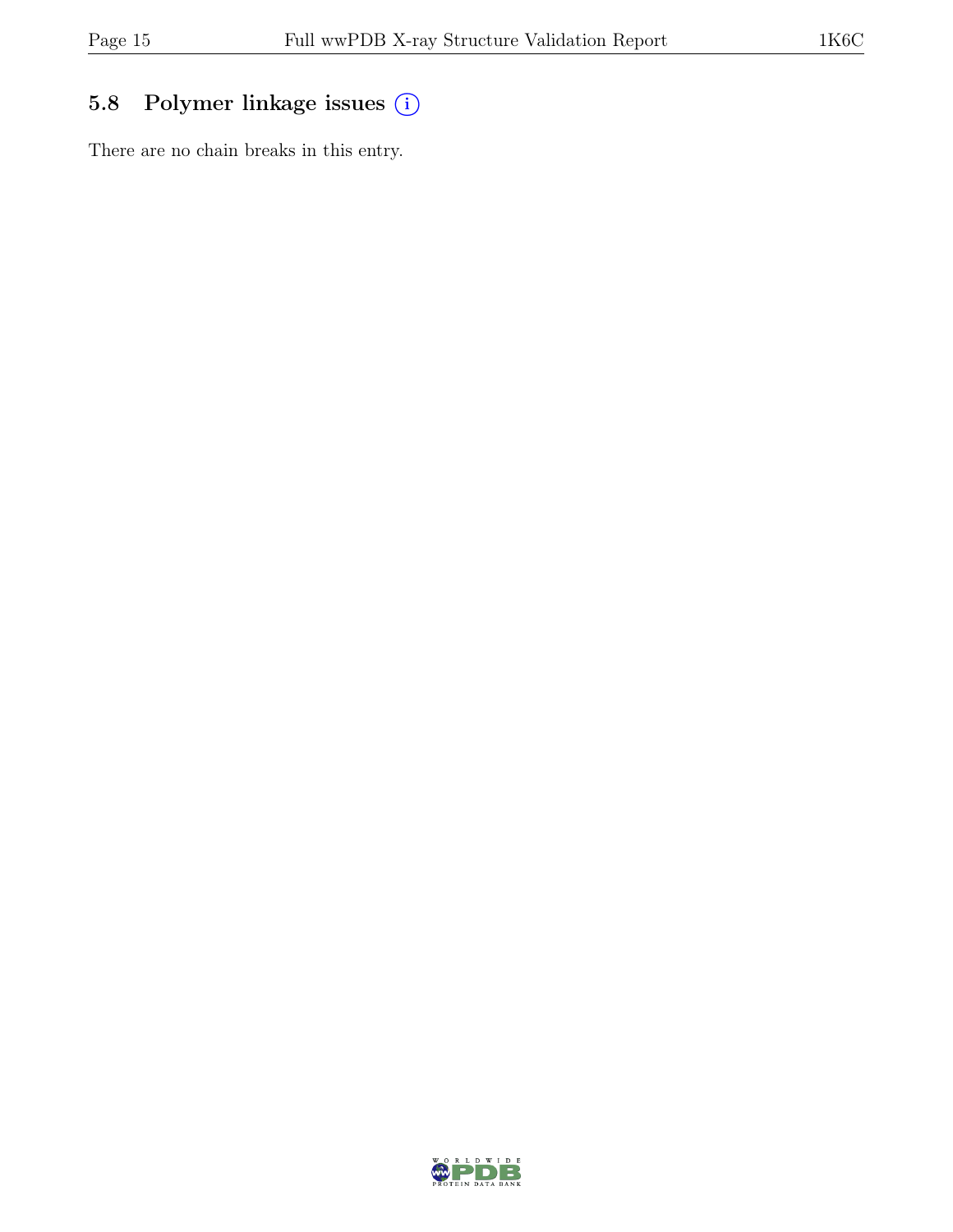# 5.8 Polymer linkage issues (i)

There are no chain breaks in this entry.